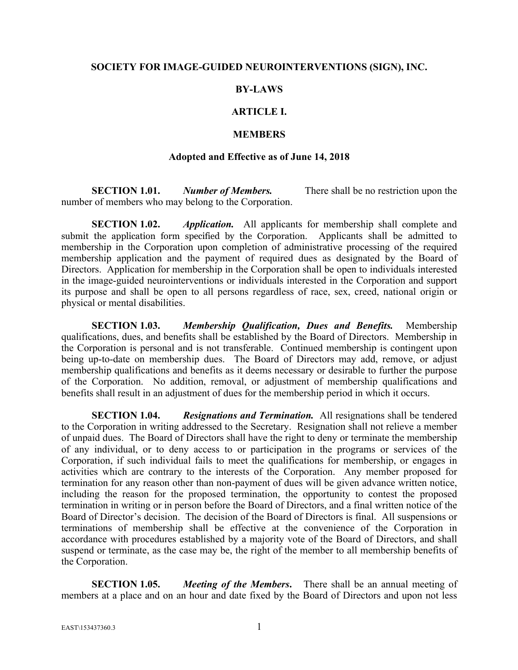#### **SOCIETY FOR IMAGE-GUIDED NEUROINTERVENTIONS (SIGN), INC.**

### **BY-LAWS**

# **ARTICLE I.**

#### **MEMBERS**

#### **Adopted and Effective as of June 14, 2018**

**SECTION 1.01.** *Number of Members.* There shall be no restriction upon the number of members who may belong to the Corporation.

**SECTION 1.02.** *Application.* All applicants for membership shall complete and submit the application form specified by the Corporation. Applicants shall be admitted to membership in the Corporation upon completion of administrative processing of the required membership application and the payment of required dues as designated by the Board of Directors. Application for membership in the Corporation shall be open to individuals interested in the image-guided neurointerventions or individuals interested in the Corporation and support its purpose and shall be open to all persons regardless of race, sex, creed, national origin or physical or mental disabilities.

**SECTION 1.03.** *Membership Qualification, Dues and Benefits.* Membership qualifications, dues, and benefits shall be established by the Board of Directors. Membership in the Corporation is personal and is not transferable. Continued membership is contingent upon being up-to-date on membership dues. The Board of Directors may add, remove, or adjust membership qualifications and benefits as it deems necessary or desirable to further the purpose of the Corporation. No addition, removal, or adjustment of membership qualifications and benefits shall result in an adjustment of dues for the membership period in which it occurs.

**SECTION 1.04.** *Resignations and Termination.* All resignations shall be tendered to the Corporation in writing addressed to the Secretary. Resignation shall not relieve a member of unpaid dues. The Board of Directors shall have the right to deny or terminate the membership of any individual, or to deny access to or participation in the programs or services of the Corporation, if such individual fails to meet the qualifications for membership, or engages in activities which are contrary to the interests of the Corporation. Any member proposed for termination for any reason other than non-payment of dues will be given advance written notice, including the reason for the proposed termination, the opportunity to contest the proposed termination in writing or in person before the Board of Directors, and a final written notice of the Board of Director's decision. The decision of the Board of Directors is final. All suspensions or terminations of membership shall be effective at the convenience of the Corporation in accordance with procedures established by a majority vote of the Board of Directors, and shall suspend or terminate, as the case may be, the right of the member to all membership benefits of the Corporation.

**SECTION 1.05.** *Meeting of the Members***.** There shall be an annual meeting of members at a place and on an hour and date fixed by the Board of Directors and upon not less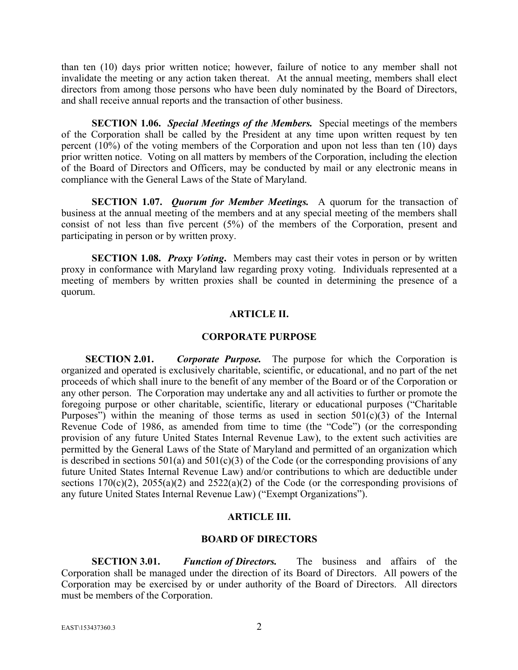than ten (10) days prior written notice; however, failure of notice to any member shall not invalidate the meeting or any action taken thereat. At the annual meeting, members shall elect directors from among those persons who have been duly nominated by the Board of Directors, and shall receive annual reports and the transaction of other business.

**SECTION 1.06.** *Special Meetings of the Members.* Special meetings of the members of the Corporation shall be called by the President at any time upon written request by ten percent (10%) of the voting members of the Corporation and upon not less than ten (10) days prior written notice. Voting on all matters by members of the Corporation, including the election of the Board of Directors and Officers, may be conducted by mail or any electronic means in compliance with the General Laws of the State of Maryland.

**SECTION 1.07.** *Quorum for Member Meetings.* A quorum for the transaction of business at the annual meeting of the members and at any special meeting of the members shall consist of not less than five percent (5%) of the members of the Corporation, present and participating in person or by written proxy.

**SECTION 1.08.** *Proxy Voting*. Members may cast their votes in person or by written proxy in conformance with Maryland law regarding proxy voting. Individuals represented at a meeting of members by written proxies shall be counted in determining the presence of a quorum.

## **ARTICLE II.**

### **CORPORATE PURPOSE**

**SECTION 2.01.** *Corporate Purpose.* The purpose for which the Corporation is organized and operated is exclusively charitable, scientific, or educational, and no part of the net proceeds of which shall inure to the benefit of any member of the Board or of the Corporation or any other person. The Corporation may undertake any and all activities to further or promote the foregoing purpose or other charitable, scientific, literary or educational purposes ("Charitable Purposes") within the meaning of those terms as used in section  $501(c)(3)$  of the Internal Revenue Code of 1986, as amended from time to time (the "Code") (or the corresponding provision of any future United States Internal Revenue Law), to the extent such activities are permitted by the General Laws of the State of Maryland and permitted of an organization which is described in sections  $501(a)$  and  $501(c)(3)$  of the Code (or the corresponding provisions of any future United States Internal Revenue Law) and/or contributions to which are deductible under sections  $170(c)(2)$ ,  $2055(a)(2)$  and  $2522(a)(2)$  of the Code (or the corresponding provisions of any future United States Internal Revenue Law) ("Exempt Organizations").

# **ARTICLE III.**

### **BOARD OF DIRECTORS**

**SECTION 3.01.** *Function of Directors.* The business and affairs of the Corporation shall be managed under the direction of its Board of Directors. All powers of the Corporation may be exercised by or under authority of the Board of Directors. All directors must be members of the Corporation.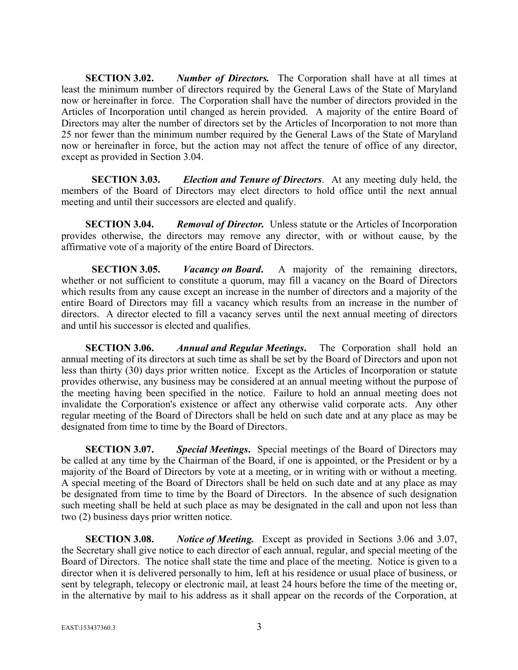**SECTION 3.02.** *Number of Directors.* The Corporation shall have at all times at least the minimum number of directors required by the General Laws of the State of Maryland now or hereinafter in force. The Corporation shall have the number of directors provided in the Articles of Incorporation until changed as herein provided. A majority of the entire Board of Directors may alter the number of directors set by the Articles of Incorporation to not more than 25 nor fewer than the minimum number required by the General Laws of the State of Maryland now or hereinafter in force, but the action may not affect the tenure of office of any director, except as provided in Section 3.04.

**SECTION 3.03.** *Election and Tenure of Directors*. At any meeting duly held, the members of the Board of Directors may elect directors to hold office until the next annual meeting and until their successors are elected and qualify.

**SECTION 3.04.** *Removal of Director.* Unless statute or the Articles of Incorporation provides otherwise, the directors may remove any director, with or without cause, by the affirmative vote of a majority of the entire Board of Directors.

**SECTION 3.05.** *Vacancy on Board***.** A majority of the remaining directors, whether or not sufficient to constitute a quorum, may fill a vacancy on the Board of Directors which results from any cause except an increase in the number of directors and a majority of the entire Board of Directors may fill a vacancy which results from an increase in the number of directors. A director elected to fill a vacancy serves until the next annual meeting of directors and until his successor is elected and qualifies.

**SECTION 3.06.** *Annual and Regular Meetings***.** The Corporation shall hold an annual meeting of its directors at such time as shall be set by the Board of Directors and upon not less than thirty (30) days prior written notice. Except as the Articles of Incorporation or statute provides otherwise, any business may be considered at an annual meeting without the purpose of the meeting having been specified in the notice. Failure to hold an annual meeting does not invalidate the Corporation's existence or affect any otherwise valid corporate acts. Any other regular meeting of the Board of Directors shall be held on such date and at any place as may be designated from time to time by the Board of Directors.

**SECTION 3.07.** *Special Meetings***.** Special meetings of the Board of Directors may be called at any time by the Chairman of the Board, if one is appointed, or the President or by a majority of the Board of Directors by vote at a meeting, or in writing with or without a meeting. A special meeting of the Board of Directors shall be held on such date and at any place as may be designated from time to time by the Board of Directors. In the absence of such designation such meeting shall be held at such place as may be designated in the call and upon not less than two (2) business days prior written notice.

**SECTION 3.08.** *Notice of Meeting.* Except as provided in Sections 3.06 and 3.07, the Secretary shall give notice to each director of each annual, regular, and special meeting of the Board of Directors. The notice shall state the time and place of the meeting. Notice is given to a director when it is delivered personally to him, left at his residence or usual place of business, or sent by telegraph, telecopy or electronic mail, at least 24 hours before the time of the meeting or, in the alternative by mail to his address as it shall appear on the records of the Corporation, at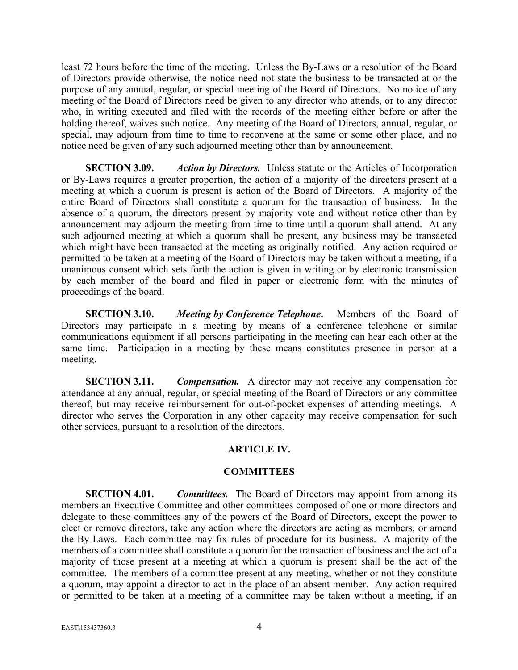least 72 hours before the time of the meeting. Unless the By-Laws or a resolution of the Board of Directors provide otherwise, the notice need not state the business to be transacted at or the purpose of any annual, regular, or special meeting of the Board of Directors. No notice of any meeting of the Board of Directors need be given to any director who attends, or to any director who, in writing executed and filed with the records of the meeting either before or after the holding thereof, waives such notice. Any meeting of the Board of Directors, annual, regular, or special, may adjourn from time to time to reconvene at the same or some other place, and no notice need be given of any such adjourned meeting other than by announcement.

**SECTION 3.09.** *Action by Directors.* Unless statute or the Articles of Incorporation or By-Laws requires a greater proportion, the action of a majority of the directors present at a meeting at which a quorum is present is action of the Board of Directors. A majority of the entire Board of Directors shall constitute a quorum for the transaction of business. In the absence of a quorum, the directors present by majority vote and without notice other than by announcement may adjourn the meeting from time to time until a quorum shall attend. At any such adjourned meeting at which a quorum shall be present, any business may be transacted which might have been transacted at the meeting as originally notified. Any action required or permitted to be taken at a meeting of the Board of Directors may be taken without a meeting, if a unanimous consent which sets forth the action is given in writing or by electronic transmission by each member of the board and filed in paper or electronic form with the minutes of proceedings of the board.

**SECTION 3.10.** *Meeting by Conference Telephone***.** Members of the Board of Directors may participate in a meeting by means of a conference telephone or similar communications equipment if all persons participating in the meeting can hear each other at the same time. Participation in a meeting by these means constitutes presence in person at a meeting.

**SECTION 3.11.** *Compensation.* A director may not receive any compensation for attendance at any annual, regular, or special meeting of the Board of Directors or any committee thereof, but may receive reimbursement for out-of-pocket expenses of attending meetings. A director who serves the Corporation in any other capacity may receive compensation for such other services, pursuant to a resolution of the directors.

### **ARTICLE IV.**

### **COMMITTEES**

**SECTION 4.01.** *Committees.* The Board of Directors may appoint from among its members an Executive Committee and other committees composed of one or more directors and delegate to these committees any of the powers of the Board of Directors, except the power to elect or remove directors, take any action where the directors are acting as members, or amend the By-Laws. Each committee may fix rules of procedure for its business. A majority of the members of a committee shall constitute a quorum for the transaction of business and the act of a majority of those present at a meeting at which a quorum is present shall be the act of the committee. The members of a committee present at any meeting, whether or not they constitute a quorum, may appoint a director to act in the place of an absent member. Any action required or permitted to be taken at a meeting of a committee may be taken without a meeting, if an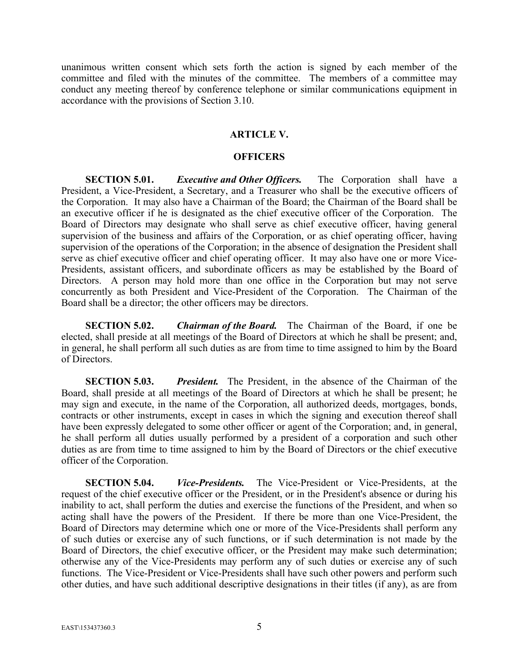unanimous written consent which sets forth the action is signed by each member of the committee and filed with the minutes of the committee. The members of a committee may conduct any meeting thereof by conference telephone or similar communications equipment in accordance with the provisions of Section 3.10.

#### **ARTICLE V.**

#### **OFFICERS**

**SECTION 5.01.** *Executive and Other Officers.* The Corporation shall have a President, a Vice-President, a Secretary, and a Treasurer who shall be the executive officers of the Corporation. It may also have a Chairman of the Board; the Chairman of the Board shall be an executive officer if he is designated as the chief executive officer of the Corporation. The Board of Directors may designate who shall serve as chief executive officer, having general supervision of the business and affairs of the Corporation, or as chief operating officer, having supervision of the operations of the Corporation; in the absence of designation the President shall serve as chief executive officer and chief operating officer. It may also have one or more Vice-Presidents, assistant officers, and subordinate officers as may be established by the Board of Directors. A person may hold more than one office in the Corporation but may not serve concurrently as both President and Vice-President of the Corporation. The Chairman of the Board shall be a director; the other officers may be directors.

**SECTION 5.02.** *Chairman of the Board.* The Chairman of the Board, if one be elected, shall preside at all meetings of the Board of Directors at which he shall be present; and, in general, he shall perform all such duties as are from time to time assigned to him by the Board of Directors.

**SECTION 5.03.** *President.* The President, in the absence of the Chairman of the Board, shall preside at all meetings of the Board of Directors at which he shall be present; he may sign and execute, in the name of the Corporation, all authorized deeds, mortgages, bonds, contracts or other instruments, except in cases in which the signing and execution thereof shall have been expressly delegated to some other officer or agent of the Corporation; and, in general, he shall perform all duties usually performed by a president of a corporation and such other duties as are from time to time assigned to him by the Board of Directors or the chief executive officer of the Corporation.

**SECTION 5.04.** *Vice-Presidents.* The Vice-President or Vice-Presidents, at the request of the chief executive officer or the President, or in the President's absence or during his inability to act, shall perform the duties and exercise the functions of the President, and when so acting shall have the powers of the President. If there be more than one Vice-President, the Board of Directors may determine which one or more of the Vice-Presidents shall perform any of such duties or exercise any of such functions, or if such determination is not made by the Board of Directors, the chief executive officer, or the President may make such determination; otherwise any of the Vice-Presidents may perform any of such duties or exercise any of such functions. The Vice-President or Vice-Presidents shall have such other powers and perform such other duties, and have such additional descriptive designations in their titles (if any), as are from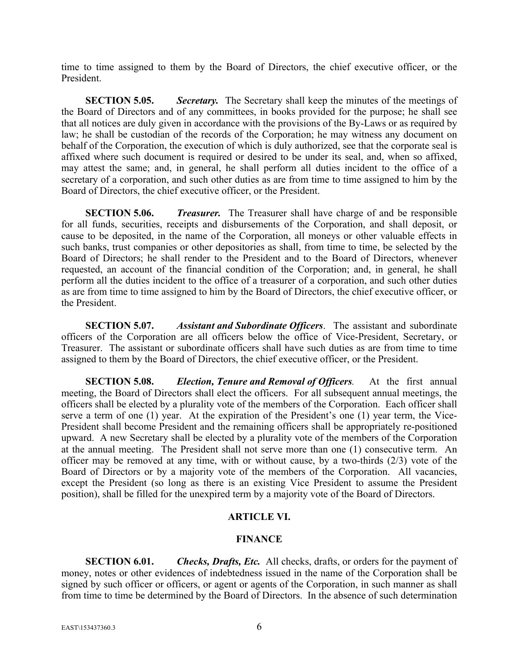time to time assigned to them by the Board of Directors, the chief executive officer, or the President.

**SECTION 5.05.** *Secretary.* The Secretary shall keep the minutes of the meetings of the Board of Directors and of any committees, in books provided for the purpose; he shall see that all notices are duly given in accordance with the provisions of the By-Laws or as required by law; he shall be custodian of the records of the Corporation; he may witness any document on behalf of the Corporation, the execution of which is duly authorized, see that the corporate seal is affixed where such document is required or desired to be under its seal, and, when so affixed, may attest the same; and, in general, he shall perform all duties incident to the office of a secretary of a corporation, and such other duties as are from time to time assigned to him by the Board of Directors, the chief executive officer, or the President.

**SECTION 5.06.** *Treasurer.* The Treasurer shall have charge of and be responsible for all funds, securities, receipts and disbursements of the Corporation, and shall deposit, or cause to be deposited, in the name of the Corporation, all moneys or other valuable effects in such banks, trust companies or other depositories as shall, from time to time, be selected by the Board of Directors; he shall render to the President and to the Board of Directors, whenever requested, an account of the financial condition of the Corporation; and, in general, he shall perform all the duties incident to the office of a treasurer of a corporation, and such other duties as are from time to time assigned to him by the Board of Directors, the chief executive officer, or the President.

**SECTION 5.07.** *Assistant and Subordinate Officers*. The assistant and subordinate officers of the Corporation are all officers below the office of Vice-President, Secretary, or Treasurer. The assistant or subordinate officers shall have such duties as are from time to time assigned to them by the Board of Directors, the chief executive officer, or the President.

**SECTION 5.08.** *Election, Tenure and Removal of Officers.* At the first annual meeting, the Board of Directors shall elect the officers. For all subsequent annual meetings, the officers shall be elected by a plurality vote of the members of the Corporation. Each officer shall serve a term of one (1) year. At the expiration of the President's one (1) year term, the Vice-President shall become President and the remaining officers shall be appropriately re-positioned upward. A new Secretary shall be elected by a plurality vote of the members of the Corporation at the annual meeting. The President shall not serve more than one (1) consecutive term. An officer may be removed at any time, with or without cause, by a two-thirds (2/3) vote of the Board of Directors or by a majority vote of the members of the Corporation. All vacancies, except the President (so long as there is an existing Vice President to assume the President position), shall be filled for the unexpired term by a majority vote of the Board of Directors.

## **ARTICLE VI.**

### **FINANCE**

**SECTION 6.01.** *Checks, Drafts, Etc.* All checks, drafts, or orders for the payment of money, notes or other evidences of indebtedness issued in the name of the Corporation shall be signed by such officer or officers, or agent or agents of the Corporation, in such manner as shall from time to time be determined by the Board of Directors. In the absence of such determination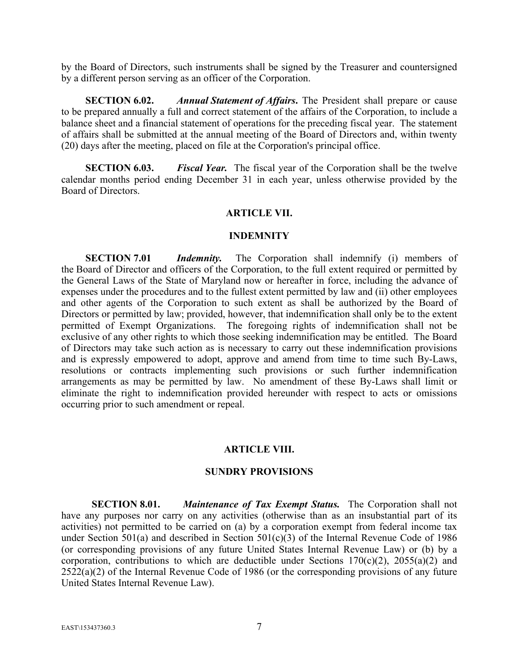by the Board of Directors, such instruments shall be signed by the Treasurer and countersigned by a different person serving as an officer of the Corporation.

**SECTION 6.02.** *Annual Statement of Affairs***.** The President shall prepare or cause to be prepared annually a full and correct statement of the affairs of the Corporation, to include a balance sheet and a financial statement of operations for the preceding fiscal year. The statement of affairs shall be submitted at the annual meeting of the Board of Directors and, within twenty (20) days after the meeting, placed on file at the Corporation's principal office.

**SECTION 6.03.** *Fiscal Year.* The fiscal year of the Corporation shall be the twelve calendar months period ending December 31 in each year, unless otherwise provided by the Board of Directors.

### **ARTICLE VII.**

#### **INDEMNITY**

**SECTION 7.01** *Indemnity*. The Corporation shall indemnity (i) members of the Board of Director and officers of the Corporation, to the full extent required or permitted by the General Laws of the State of Maryland now or hereafter in force, including the advance of expenses under the procedures and to the fullest extent permitted by law and (ii) other employees and other agents of the Corporation to such extent as shall be authorized by the Board of Directors or permitted by law; provided, however, that indemnification shall only be to the extent permitted of Exempt Organizations. The foregoing rights of indemnification shall not be exclusive of any other rights to which those seeking indemnification may be entitled. The Board of Directors may take such action as is necessary to carry out these indemnification provisions and is expressly empowered to adopt, approve and amend from time to time such By-Laws, resolutions or contracts implementing such provisions or such further indemnification arrangements as may be permitted by law. No amendment of these By-Laws shall limit or eliminate the right to indemnification provided hereunder with respect to acts or omissions occurring prior to such amendment or repeal.

#### **ARTICLE VIII.**

#### **SUNDRY PROVISIONS**

**SECTION 8.01.** *Maintenance of Tax Exempt Status.* The Corporation shall not have any purposes nor carry on any activities (otherwise than as an insubstantial part of its activities) not permitted to be carried on (a) by a corporation exempt from federal income tax under Section 501(a) and described in Section 501(c)(3) of the Internal Revenue Code of 1986 (or corresponding provisions of any future United States Internal Revenue Law) or (b) by a corporation, contributions to which are deductible under Sections  $170(c)(2)$ ,  $2055(a)(2)$  and 2522(a)(2) of the Internal Revenue Code of 1986 (or the corresponding provisions of any future United States Internal Revenue Law).